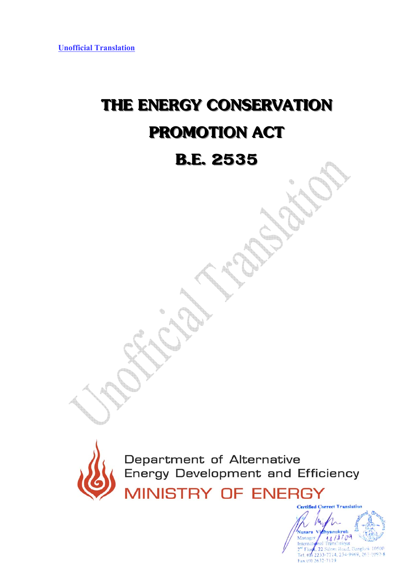# **THE ENERGY CONSERVATION PROMOTION ACT**

## **B.E. 2535**



Department of Alternative Energy Development and Efficiency **MINISTRY OF ENERGY** 

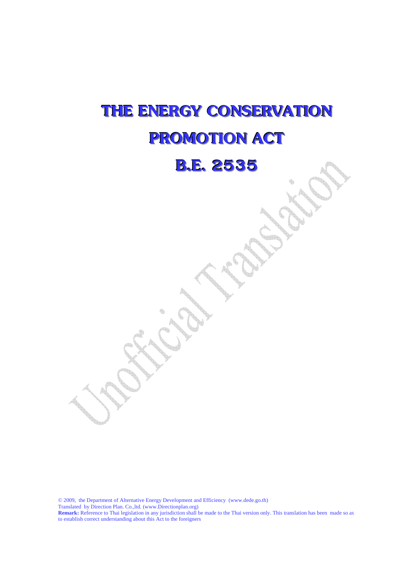# **THE ENERGY CONSERVATION PROMOTION ACT**

## **B.E. 2535**

© 2009, the Department of Alternative Energy Development and Efficiency (www.dede.go.th) Translated by Direction Plan. Co.,ltd. (www.Directionplan.org) **Remark:** Reference to Thai legislation in any jurisdiction shall be made to the Thai version only. This translation has been made so as to establish correct understanding about this Act to the foreigners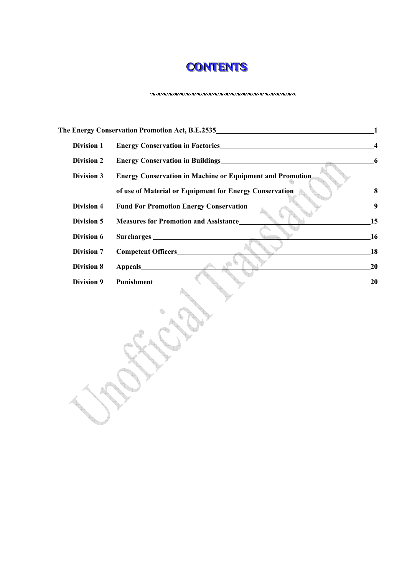

|                   | The Energy Conservation Promotion Act, B.E.2535<br>The Energy Conservation Promotion Act, B.E.2535 | 1  |
|-------------------|----------------------------------------------------------------------------------------------------|----|
| <b>Division 1</b> |                                                                                                    | 4  |
| <b>Division 2</b> | Energy Conservation in Buildings<br><u>Energy Conservation</u> in Buildings                        | 6  |
| <b>Division 3</b> | <b>Energy Conservation in Machine or Equipment and Promotion</b>                                   |    |
|                   | of use of Material or Equipment for Energy Conservation                                            | 8  |
| <b>Division 4</b> | <b>Fund For Promotion Energy Conservation_</b>                                                     | 9  |
| Division 5        | <b>Measures for Promotion and Assistance</b>                                                       | 15 |
| Division 6        |                                                                                                    | 16 |
| <b>Division 7</b> |                                                                                                    | 18 |
| <b>Division 8</b> | Appeals                                                                                            | 20 |
| <b>Division 9</b> | Punishment_                                                                                        | 20 |
|                   |                                                                                                    |    |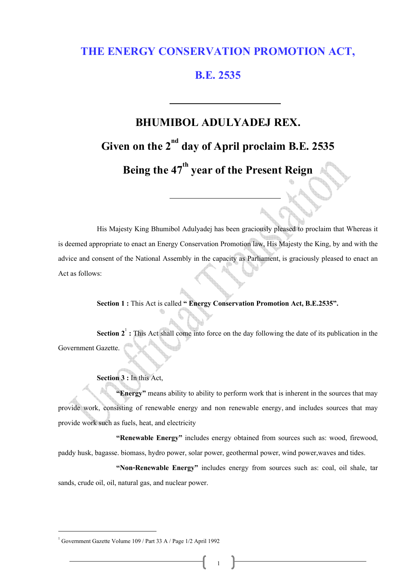#### **THE ENERGY CONSERVATION PROMOTION ACT,**

#### **B.E. 2535**

## **BHUMIBOL ADULYADEJ REX.**  Given on the 2<sup>nd</sup> day of April proclaim B.E. 2535 Being the 47<sup>th</sup> year of the Present Reign

His Majesty King Bhumibol Adulyadej has been graciously pleased to proclaim that Whereas it is deemed appropriate to enact an Energy Conservation Promotion law, His Majesty the King, by and with the advice and consent of the National Assembly in the capacity as Parliament, is graciously pleased to enact an Act as follows:

**Section 1:** This Act is called **" Energy Conservation Promotion Act, B.E.2535".** 

**Section 2<sup>1</sup>**: This Act shall come into force on the day following the date of its publication in the Government Gazette.

**Section 3:** In this Act,

 **"Energy"** means ability to ability to perform work that is inherent in the sources that may provide work, consisting of renewable energy and non renewable energy, and includes sources that may provide work such as fuels, heat, and electricity

 **"Renewable Energy"** includes energy obtained from sources such as: wood, firewood, paddy husk, bagasse. biomass, hydro power, solar power, geothermal power, wind power,waves and tides.

 **"Non-Renewable Energy"** includes energy from sources such as: coal, oil shale, tar sands, crude oil, oil, natural gas, and nuclear power.

<sup>1</sup> Government Gazette Volume 109 / Part 33 A / Page 1/2 April 1992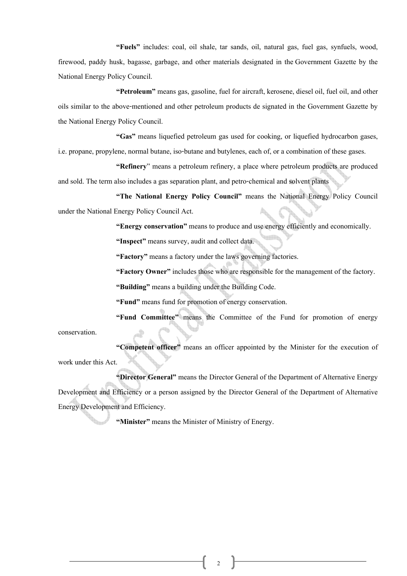**"Fuels"** includes: coal, oil shale, tar sands, oil, natural gas, fuel gas, synfuels, wood, firewood, paddy husk, bagasse, garbage, and other materials designated in the Government Gazette by the National Energy Policy Council.

 **"Petroleum"** means gas, gasoline, fuel for aircraft, kerosene, diesel oil, fuel oil, and other oils similar to the above-mentioned and other petroleum products de signated in the Government Gazette by the National Energy Policy Council.

 **"Gas"** means liquefied petroleum gas used for cooking, or liquefied hydrocarbon gases, i.e. propane, propylene, normal butane, iso-butane and butylenes, each of, or a combination of these gases.

 **"Refinery**" means a petroleum refinery, a place where petroleum products are produced and sold. The term also includes a gas separation plant, and petro-chemical and solvent plants

 **"The National Energy Policy Council"** means the National Energy Policy Council under the National Energy Policy Council Act.

**"Energy conservation"** means to produce and use energy efficiently and economically.

**"Inspect"** means survey, audit and collect data.

**"Factory"** means a factory under the laws governing factories.

 **"Factory Owner"** includes those who are responsible for the management of the factory.

**"Building"** means a building under the Building Code.

**"Fund"** means fund for promotion of energy conservation.

 **"Fund Committee"** means the Committee of the Fund for promotion of energy conservation.

 **"Competent officer"** means an officer appointed by the Minister for the execution of work under this Act.

 **"Director General"** means the Director General of the Department of Alternative Energy Development and Efficiency or a person assigned by the Director General of the Department of Alternative Energy Development and Efficiency.

**"Minister"** means the Minister of Ministry of Energy.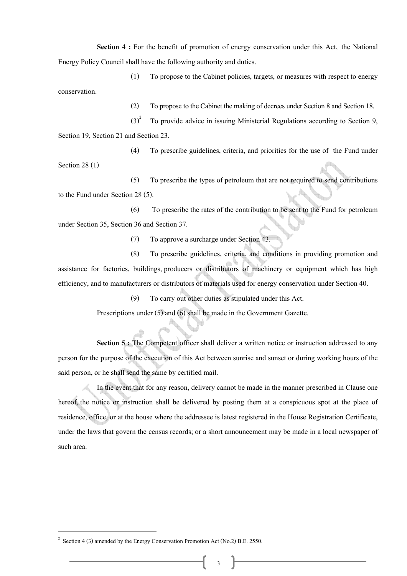**Section 4 :** For the benefit of promotion of energy conservation under this Act, the National Energy Policy Council shall have the following authority and duties.

(1) To propose to the Cabinet policies, targets, or measures with respect to energy conservation.

(2) To propose to the Cabinet the making of decrees under Section 8 and Section 18.

 $(3)^2$  To provide advice in issuing Ministerial Regulations according to Section 9, Section 19, Section 21 and Section 23.

(4) To prescribe guidelines, criteria, and priorities for the use of the Fund under

Section 28 (1)

(5) To prescribe the types of petroleum that are not required to send contributions to the Fund under Section 28 (5).

(6) To prescribe the rates of the contribution to be sent to the Fund for petroleum under Section 35, Section 36 and Section 37.

(7) To approve a surcharge under Section 43.

(8) To prescribe guidelines, criteria, and conditions in providing promotion and assistance for factories, buildings, producers or distributors of machinery or equipment which has high efficiency, and to manufacturers or distributors of materials used for energy conservation under Section 40.

(9) To carry out other duties as stipulated under this Act.

Prescriptions under (5) and (6) shall be made in the Government Gazette.

**Section 5 :** The Competent officer shall deliver a written notice or instruction addressed to any person for the purpose of the execution of this Act between sunrise and sunset or during working hours of the said person, or he shall send the same by certified mail.

 In the event that for any reason, delivery cannot be made in the manner prescribed in Clause one hereof, the notice or instruction shall be delivered by posting them at a conspicuous spot at the place of residence, office, or at the house where the addressee is latest registered in the House Registration Certificate, under the laws that govern the census records; or a short announcement may be made in a local newspaper of such area.

<sup>&</sup>lt;sup>2</sup> Section 4 (3) amended by the Energy Conservation Promotion Act (No.2) B.E. 2550.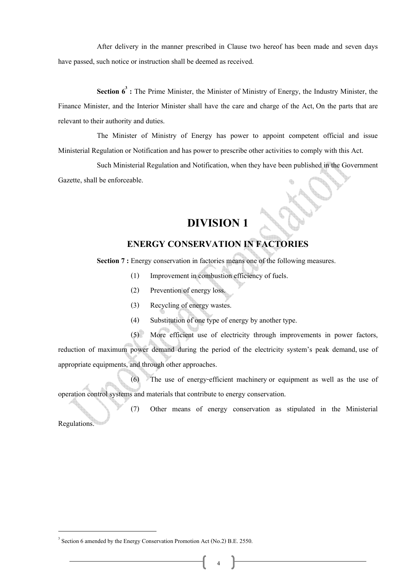After delivery in the manner prescribed in Clause two hereof has been made and seven days have passed, such notice or instruction shall be deemed as received.

Section  $6^3$ : The Prime Minister, the Minister of Ministry of Energy, the Industry Minister, the Finance Minister, and the Interior Minister shall have the care and charge of the Act, On the parts that are relevant to their authority and duties.

 The Minister of Ministry of Energy has power to appoint competent official and issue Ministerial Regulation or Notification and has power to prescribe other activities to comply with this Act.

 Such Ministerial Regulation and Notification, when they have been published in the Government Gazette, shall be enforceable.

#### **DIVISION 1**

#### **ENERGY CONSERVATION IN FACTORIES**

**Section 7 :** Energy conservation in factories means one of the following measures.

- (1) Improvement in combustion efficiency of fuels.
- (2) Prevention of energy loss.
- (3) Recycling of energy wastes.
- (4) Substitution of one type of energy by another type.

(5) More efficient use of electricity through improvements in power factors, reduction of maximum power demand during the period of the electricity system's peak demand, use of appropriate equipments, and through other approaches.

(6) The use of energy-efficient machinery or equipment as well as the use of operation control systems and materials that contribute to energy conservation.

(7) Other means of energy conservation as stipulated in the Ministerial

Regulations.

<sup>&</sup>lt;sup>3</sup> Section 6 amended by the Energy Conservation Promotion Act (No.2) B.E. 2550.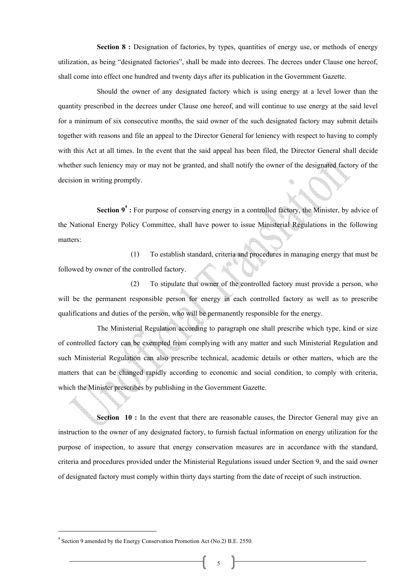**Section 8 :** Designation of factories, by types, quantities of energy use, or methods of energy utilization, as being "designated factories", shall be made into decrees. The decrees under Clause one hereof, shall come into effect one hundred and twenty days after its publication in the Government Gazette.

 Should the owner of any designated factory which is using energy at a level lower than the quantity prescribed in the decrees under Clause one hereof, and will continue to use energy at the said level for a minimum of six consecutive months, the said owner of the such designated factory may submit details together with reasons and file an appeal to the Director General for leniency with respect to having to comply with this Act at all times. In the event that the said appeal has been filed, the Director General shall decide whether such leniency may or may not be granted, and shall notify the owner of the designated factory of the decision in writing promptly.

**Section 9<sup>4</sup>**: For purpose of conserving energy in a controlled factory, the Minister, by advice of the National Energy Policy Committee, shall have power to issue Ministerial Regulations in the following matters:

(1) To establish standard, criteria and procedures in managing energy that must be followed by owner of the controlled factory.

(2) To stipulate that owner of the controlled factory must provide a person, who will be the permanent responsible person for energy in each controlled factory as well as to prescribe qualifications and duties of the person, who will be permanently responsible for the energy.

The Ministerial Regulation according to paragraph one shall prescribe which type, kind or size of controlled factory can be exempted from complying with any matter and such Ministerial Regulation and such Ministerial Regulation can also prescribe technical, academic details or other matters, which are the matters that can be changed rapidly according to economic and social condition, to comply with criteria, which the Minister prescribes by publishing in the Government Gazette.

**Section 10 :** In the event that there are reasonable causes, the Director General may give an instruction to the owner of any designated factory, to furnish factual information on energy utilization for the purpose of inspection, to assure that energy conservation measures are in accordance with the standard, criteria and procedures provided under the Ministerial Regulations issued under Section 9, and the said owner of designated factory must comply within thirty days starting from the date of receipt of such instruction.

<sup>4</sup> Section 9 amended by the Energy Conservation Promotion Act (No.2) B.E. 2550.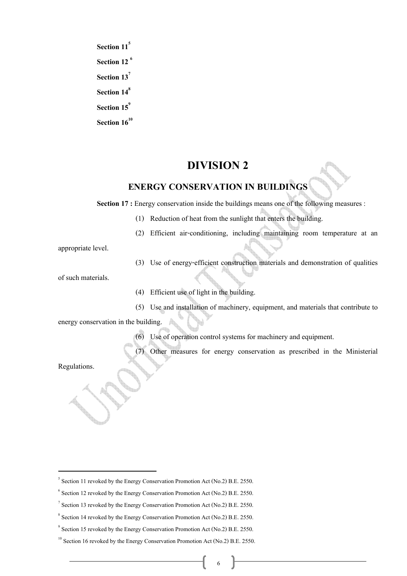**Section 11<sup>5</sup> Section 12 6 Section 137 Section 148** Section 15<sup>9</sup> Section  $16^{10}$ 

#### **DIVISION 2**

#### **ENERGY CONSERVATION IN BUILDINGS**

**Section 17 :** Energy conservation inside the buildings means one of the following measures :

- (1) Reduction of heat from the sunlight that enters the building.
- (2) Efficient air-conditioning, including maintaining room temperature at an

appropriate level.

(3) Use of energy-efficient construction materials and demonstration of qualities

of such materials.

- (4) Efficient use of light in the building.
- (5) Use and installation of machinery, equipment, and materials that contribute to

energy conservation in the building.

(6) Use of operation control systems for machinery and equipment.

Other measures for energy conservation as prescribed in the Ministerial

Regulations.

<sup>&</sup>lt;sup>5</sup> Section 11 revoked by the Energy Conservation Promotion Act (No.2) B.E. 2550.

 $6$  Section 12 revoked by the Energy Conservation Promotion Act (No.2) B.E. 2550.

 $\frac{1}{2}$  Section 13 revoked by the Energy Conservation Promotion Act (No.2) B.E. 2550.

 $8$  Section 14 revoked by the Energy Conservation Promotion Act (No.2) B.E. 2550.

 $\degree$  Section 15 revoked by the Energy Conservation Promotion Act (No.2) B.E. 2550.

 $10$  Section 16 revoked by the Energy Conservation Promotion Act (No.2) B.E. 2550.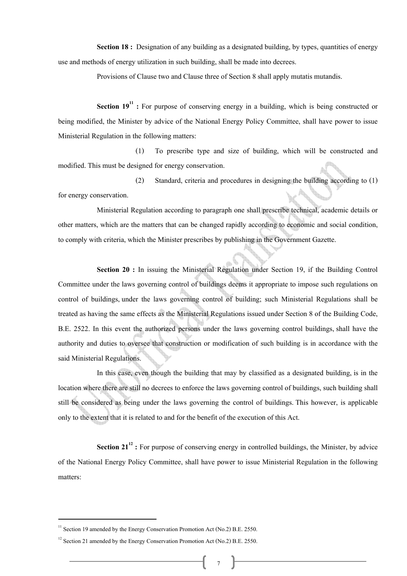**Section 18 :** Designation of any building as a designated building, by types, quantities of energy use and methods of energy utilization in such building, shall be made into decrees.

Provisions of Clause two and Clause three of Section 8 shall apply mutatis mutandis.

**Section 19<sup>11</sup>** : For purpose of conserving energy in a building, which is being constructed or being modified, the Minister by advice of the National Energy Policy Committee, shall have power to issue Ministerial Regulation in the following matters:

(1) To prescribe type and size of building, which will be constructed and modified. This must be designed for energy conservation.

(2) Standard, criteria and procedures in designing the building according to (1) for energy conservation.

Ministerial Regulation according to paragraph one shall prescribe technical, academic details or other matters, which are the matters that can be changed rapidly according to economic and social condition, to comply with criteria, which the Minister prescribes by publishing in the Government Gazette.

**Section 20 :** In issuing the Ministerial Regulation under Section 19, if the Building Control Committee under the laws governing control of buildings deems it appropriate to impose such regulations on control of buildings, under the laws governing control of building; such Ministerial Regulations shall be treated as having the same effects as the Ministerial Regulations issued under Section 8 of the Building Code, B.E. 2522. In this event the authorized persons under the laws governing control buildings, shall have the authority and duties to oversee that construction or modification of such building is in accordance with the said Ministerial Regulations.

 In this case, even though the building that may by classified as a designated building, is in the location where there are still no decrees to enforce the laws governing control of buildings, such building shall still be considered as being under the laws governing the control of buildings. This however, is applicable only to the extent that it is related to and for the benefit of the execution of this Act.

**Section 21<sup>12</sup>**: For purpose of conserving energy in controlled buildings, the Minister, by advice of the National Energy Policy Committee, shall have power to issue Ministerial Regulation in the following matters:

<sup>&</sup>lt;sup>11</sup> Section 19 amended by the Energy Conservation Promotion Act (No.2) B.E. 2550.<br><sup>12</sup> Section 21 amended by the Energy Conservation Promotion Act (No.2) B.E. 2550.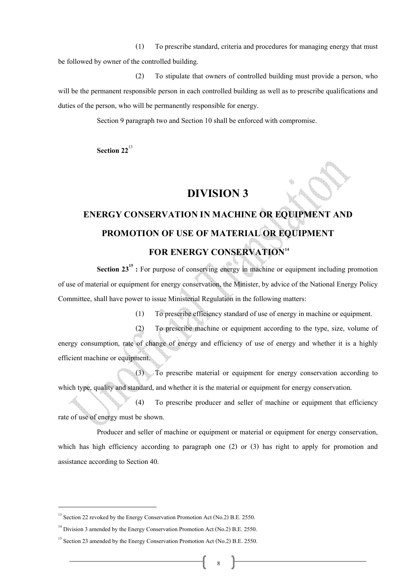(1) To prescribe standard, criteria and procedures for managing energy that must be followed by owner of the controlled building.

(2) To stipulate that owners of controlled building must provide a person, who will be the permanent responsible person in each controlled building as well as to prescribe qualifications and duties of the person, who will be permanently responsible for energy.

Section 9 paragraph two and Section 10 shall be enforced with compromise.

**Section 22**<sup>13</sup>

efficient machine or equipment.

#### **DIVISION 3**

## **ENERGY CONSERVATION IN MACHINE OR EQUIPMENT AND PROMOTION OF USE OF MATERIAL OR EQUIPMENT FOR ENERGY CONSERVATION<sup>14</sup>**

**Section 23<sup>15</sup>** : For purpose of conserving energy in machine or equipment including promotion of use of material or equipment for energy conservation, the Minister, by advice of the National Energy Policy Committee, shall have power to issue Ministerial Regulation in the following matters:

(1) To prescribe efficiency standard of use of energy in machine or equipment.

(2) To prescribe machine or equipment according to the type, size, volume of energy consumption, rate of change of energy and efficiency of use of energy and whether it is a highly

(3) To prescribe material or equipment for energy conservation according to which type, quality and standard, and whether it is the material or equipment for energy conservation.

(4) To prescribe producer and seller of machine or equipment that efficiency rate of use of energy must be shown.

Producer and seller of machine or equipment or material or equipment for energy conservation, which has high efficiency according to paragraph one (2) or (3) has right to apply for promotion and assistance according to Section 40.

<sup>&</sup>lt;sup>13</sup> Section 22 revoked by the Energy Conservation Promotion Act (No.2) B.E. 2550.<br><sup>14</sup> Division 3 amended by the Energy Conservation Promotion Act (No.2) B.E. 2550.<br><sup>15</sup> Section 23 amended by the Energy Conservation Prom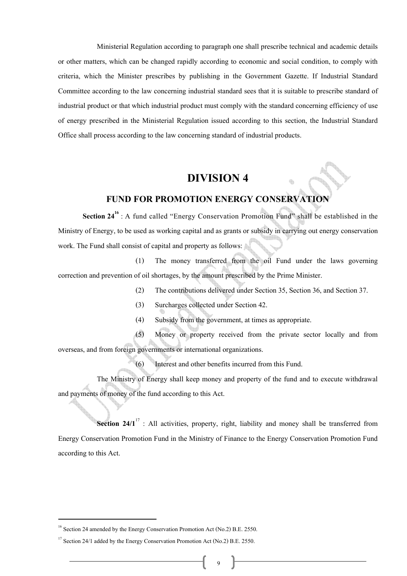Ministerial Regulation according to paragraph one shall prescribe technical and academic details or other matters, which can be changed rapidly according to economic and social condition, to comply with criteria, which the Minister prescribes by publishing in the Government Gazette. If Industrial Standard Committee according to the law concerning industrial standard sees that it is suitable to prescribe standard of industrial product or that which industrial product must comply with the standard concerning efficiency of use of energy prescribed in the Ministerial Regulation issued according to this section, the Industrial Standard Office shall process according to the law concerning standard of industrial products.

#### **DIVISION 4**

#### **FUND FOR PROMOTION ENERGY CONSERVATION**

**Section 24<sup>16</sup>** : A fund called "Energy Conservation Promotion Fund" shall be established in the Ministry of Energy, to be used as working capital and as grants or subsidy in carrying out energy conservation work. The Fund shall consist of capital and property as follows:

(1) The money transferred from the oil Fund under the laws governing correction and prevention of oil shortages, by the amount prescribed by the Prime Minister.

- (2) The contributions delivered under Section 35, Section 36, and Section 37.
- (3) Surcharges collected under Section 42.
- (4) Subsidy from the government, at times as appropriate.

(5) Money or property received from the private sector locally and from overseas, and from foreign governments or international organizations.

(6) Interest and other benefits incurred from this Fund.

 The Ministry of Energy shall keep money and property of the fund and to execute withdrawal and payments of money of the fund according to this Act.

**Section 24/1<sup>17</sup>**: All activities, property, right, liability and money shall be transferred from Energy Conservation Promotion Fund in the Ministry of Finance to the Energy Conservation Promotion Fund according to this Act.

<sup>&</sup>lt;sup>16</sup> Section 24 amended by the Energy Conservation Promotion Act (No.2) B.E. 2550.<br><sup>17</sup> Section 24/1 added by the Energy Conservation Promotion Act (No.2) B.E. 2550.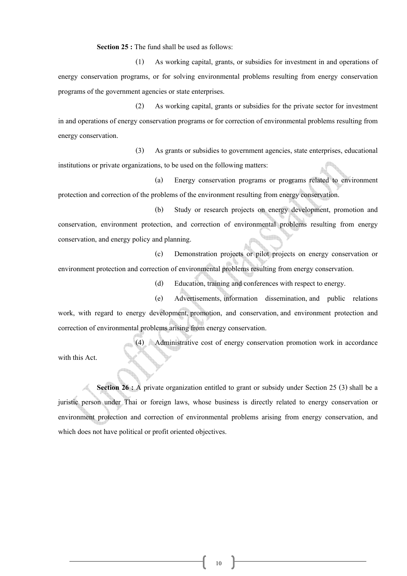Section 25 : The fund shall be used as follows:

(1) As working capital, grants, or subsidies for investment in and operations of energy conservation programs, or for solving environmental problems resulting from energy conservation programs of the government agencies or state enterprises.

(2) As working capital, grants or subsidies for the private sector for investment in and operations of energy conservation programs or for correction of environmental problems resulting from energy conservation.

(3) As grants or subsidies to government agencies, state enterprises, educational institutions or private organizations, to be used on the following matters:

(a) Energy conservation programs or programs related to environment protection and correction of the problems of the environment resulting from energy conservation.

(b) Study or research projects on energy development, promotion and conservation, environment protection, and correction of environmental problems resulting from energy conservation, and energy policy and planning.

(c) Demonstration projects or pilot projects on energy conservation or environment protection and correction of environmental problems resulting from energy conservation.

(d) Education, training and conferences with respect to energy.

(e) Advertisements, information dissemination, and public relations work, with regard to energy development, promotion, and conservation, and environment protection and correction of environmental problems arising from energy conservation.

(4) Administrative cost of energy conservation promotion work in accordance with this Act.

**Section 26 :** A private organization entitled to grant or subsidy under Section 25 (3) shall be a juristic person under Thai or foreign laws, whose business is directly related to energy conservation or environment protection and correction of environmental problems arising from energy conservation, and

which does not have political or profit oriented objectives.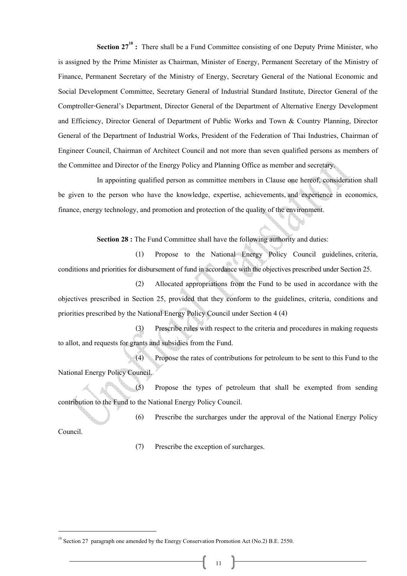**Section 27<sup>18</sup>** : There shall be a Fund Committee consisting of one Deputy Prime Minister, who is assigned by the Prime Minister as Chairman, Minister of Energy, Permanent Secretary of the Ministry of Finance, Permanent Secretary of the Ministry of Energy, Secretary General of the National Economic and Social Development Committee, Secretary General of Industrial Standard Institute, Director General of the Comptroller-General's Department, Director General of the Department of Alternative Energy Development and Efficiency, Director General of Department of Public Works and Town & Country Planning, Director General of the Department of Industrial Works, President of the Federation of Thai Industries, Chairman of Engineer Council, Chairman of Architect Council and not more than seven qualified persons as members of the Committee and Director of the Energy Policy and Planning Office as member and secretary.

 In appointing qualified person as committee members in Clause one hereof, consideration shall be given to the person who have the knowledge, expertise, achievements, and experience in economics, finance, energy technology, and promotion and protection of the quality of the environment.

**Section 28 :** The Fund Committee shall have the following authority and duties:

(1) Propose to the National Energy Policy Council guidelines, criteria, conditions and priorities for disbursement of fund in accordance with the objectives prescribed under Section 25.

(2) Allocated appropriations from the Fund to be used in accordance with the objectives prescribed in Section 25, provided that they conform to the guidelines, criteria, conditions and priorities prescribed by the National Energy Policy Council under Section 4 (4)

(3) Prescribe rules with respect to the criteria and procedures in making requests to allot, and requests for grants and subsidies from the Fund.

(4) Propose the rates of contributions for petroleum to be sent to this Fund to the National Energy Policy Council.

(5) Propose the types of petroleum that shall be exempted from sending contribution to the Fund to the National Energy Policy Council.

(6) Prescribe the surcharges under the approval of the National Energy Policy

Council.

(7) Prescribe the exception of surcharges.

<sup>&</sup>lt;sup>18</sup> Section 27 paragraph one amended by the Energy Conservation Promotion Act (No.2) B.E. 2550.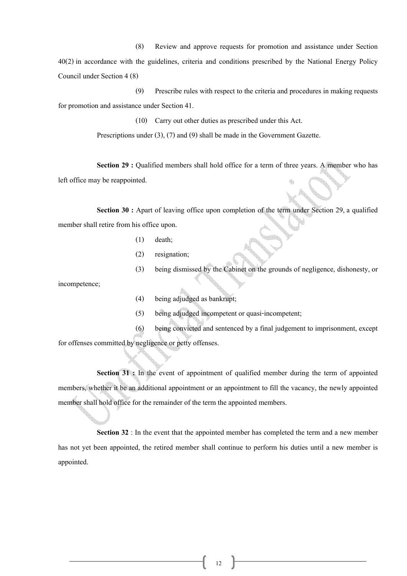(8) Review and approve requests for promotion and assistance under Section

40(2) in accordance with the guidelines, criteria and conditions prescribed by the National Energy Policy Council under Section 4 (8)

(9) Prescribe rules with respect to the criteria and procedures in making requests for promotion and assistance under Section 41.

(10) Carry out other duties as prescribed under this Act.

Prescriptions under (3), (7) and (9) shall be made in the Government Gazette.

**Section 29 :** Qualified members shall hold office for a term of three years. A member who has left office may be reappointed.

**Section 30 :** Apart of leaving office upon completion of the term under Section 29, a qualified member shall retire from his office upon.

- (1) death;
- (2) resignation;
- (3) being dismissed by the Cabinet on the grounds of negligence, dishonesty, or

incompetence;

- (4) being adjudged as bankrupt;
- (5) being adjudged incompetent or quasi-incompetent;
- (6) being convicted and sentenced by a final judgement to imprisonment, except

for offenses committed by negligence or petty offenses.

**Section 31 :** In the event of appointment of qualified member during the term of appointed members, whether it be an additional appointment or an appointment to fill the vacancy, the newly appointed member shall hold office for the remainder of the term the appointed members.

**Section 32** : In the event that the appointed member has completed the term and a new member has not yet been appointed, the retired member shall continue to perform his duties until a new member is appointed.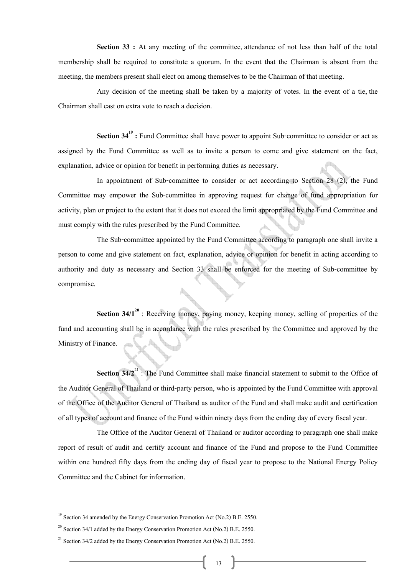**Section 33 :** At any meeting of the committee, attendance of not less than half of the total membership shall be required to constitute a quorum. In the event that the Chairman is absent from the meeting, the members present shall elect on among themselves to be the Chairman of that meeting.

 Any decision of the meeting shall be taken by a majority of votes. In the event of a tie, the Chairman shall cast on extra vote to reach a decision.

**Section 34<sup>19</sup>** : Fund Committee shall have power to appoint Sub-committee to consider or act as assigned by the Fund Committee as well as to invite a person to come and give statement on the fact, explanation, advice or opinion for benefit in performing duties as necessary.

 In appointment of Sub-committee to consider or act according to Section 28 (2), the Fund Committee may empower the Sub-committee in approving request for change of fund appropriation for activity, plan or project to the extent that it does not exceed the limit appropriated by the Fund Committee and must comply with the rules prescribed by the Fund Committee.

 The Sub-committee appointed by the Fund Committee according to paragraph one shall invite a person to come and give statement on fact, explanation, advice or opinion for benefit in acting according to authority and duty as necessary and Section 33 shall be enforced for the meeting of Sub-committee by compromise.

**Section 34/1<sup>20</sup>** : Receiving money, paying money, keeping money, selling of properties of the fund and accounting shall be in accordance with the rules prescribed by the Committee and approved by the Ministry of Finance.

**Section 34/2<sup>21</sup>**: The Fund Committee shall make financial statement to submit to the Office of the Auditor General of Thailand or third-party person, who is appointed by the Fund Committee with approval of the Office of the Auditor General of Thailand as auditor of the Fund and shall make audit and certification of all types of account and finance of the Fund within ninety days from the ending day of every fiscal year.

 The Office of the Auditor General of Thailand or auditor according to paragraph one shall make report of result of audit and certify account and finance of the Fund and propose to the Fund Committee within one hundred fifty days from the ending day of fiscal year to propose to the National Energy Policy Committee and the Cabinet for information.

<sup>&</sup>lt;sup>19</sup> Section 34 amended by the Energy Conservation Promotion Act (No.2) B.E. 2550.<br><sup>20</sup> Section 34/1 added by the Energy Conservation Promotion Act (No.2) B.E. 2550.<br><sup>21</sup> Section 34/2 added by the Energy Conservation Prom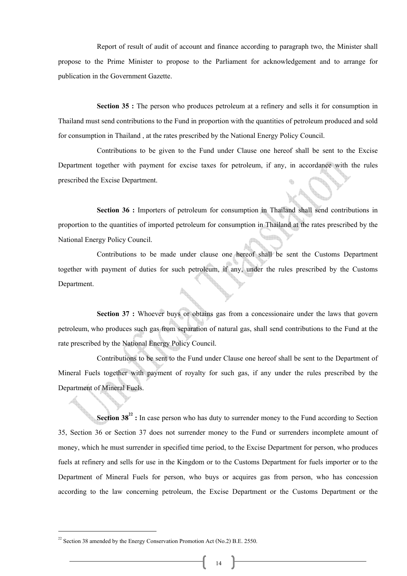Report of result of audit of account and finance according to paragraph two, the Minister shall propose to the Prime Minister to propose to the Parliament for acknowledgement and to arrange for publication in the Government Gazette.

**Section 35 :** The person who produces petroleum at a refinery and sells it for consumption in Thailand must send contributions to the Fund in proportion with the quantities of petroleum produced and sold for consumption in Thailand , at the rates prescribed by the National Energy Policy Council.

 Contributions to be given to the Fund under Clause one hereof shall be sent to the Excise Department together with payment for excise taxes for petroleum, if any, in accordance with the rules prescribed the Excise Department.

Section 36 : Importers of petroleum for consumption in Thailand shall send contributions in proportion to the quantities of imported petroleum for consumption in Thailand at the rates prescribed by the National Energy Policy Council.

 Contributions to be made under clause one hereof shall be sent the Customs Department together with payment of duties for such petroleum, if any, under the rules prescribed by the Customs Department.

**Section 37 :** Whoever buys or obtains gas from a concessionaire under the laws that govern petroleum, who produces such gas from separation of natural gas, shall send contributions to the Fund at the rate prescribed by the National Energy Policy Council.

 Contributions to be sent to the Fund under Clause one hereof shall be sent to the Department of Mineral Fuels together with payment of royalty for such gas, if any under the rules prescribed by the Department of Mineral Fuels.

**Section 38<sup>22</sup>**: In case person who has duty to surrender money to the Fund according to Section 35, Section 36 or Section 37 does not surrender money to the Fund or surrenders incomplete amount of money, which he must surrender in specified time period, to the Excise Department for person, who produces fuels at refinery and sells for use in the Kingdom or to the Customs Department for fuels importer or to the Department of Mineral Fuels for person, who buys or acquires gas from person, who has concession according to the law concerning petroleum, the Excise Department or the Customs Department or the

<sup>&</sup>lt;sup>22</sup> Section 38 amended by the Energy Conservation Promotion Act (No.2) B.E. 2550.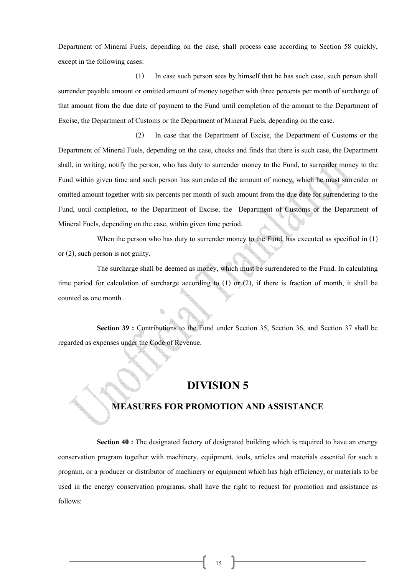Department of Mineral Fuels, depending on the case, shall process case according to Section 58 quickly, except in the following cases:

(1) In case such person sees by himself that he has such case, such person shall surrender payable amount or omitted amount of money together with three percents per month of surcharge of that amount from the due date of payment to the Fund until completion of the amount to the Department of Excise, the Department of Customs or the Department of Mineral Fuels, depending on the case.

(2) In case that the Department of Excise, the Department of Customs or the Department of Mineral Fuels, depending on the case, checks and finds that there is such case, the Department shall, in writing, notify the person, who has duty to surrender money to the Fund, to surrender money to the Fund within given time and such person has surrendered the amount of money, which he must surrender or omitted amount together with six percents per month of such amount from the due date for surrendering to the Fund, until completion, to the Department of Excise, the Department of Customs or the Department of Mineral Fuels, depending on the case, within given time period.

When the person who has duty to surrender money to the Fund, has executed as specified in (1) or (2), such person is not guilty.

 The surcharge shall be deemed as money, which must be surrendered to the Fund. In calculating time period for calculation of surcharge according to (1) or (2), if there is fraction of month, it shall be counted as one month.

 **Section 39 :** Contributions to the Fund under Section 35, Section 36, and Section 37 shall be regarded as expenses under the Code of Revenue.

#### **DIVISION 5**

#### **MEASURES FOR PROMOTION AND ASSISTANCE**

**Section 40 :** The designated factory of designated building which is required to have an energy conservation program together with machinery, equipment, tools, articles and materials essential for such a program, or a producer or distributor of machinery or equipment which has high efficiency, or materials to be used in the energy conservation programs, shall have the right to request for promotion and assistance as follows: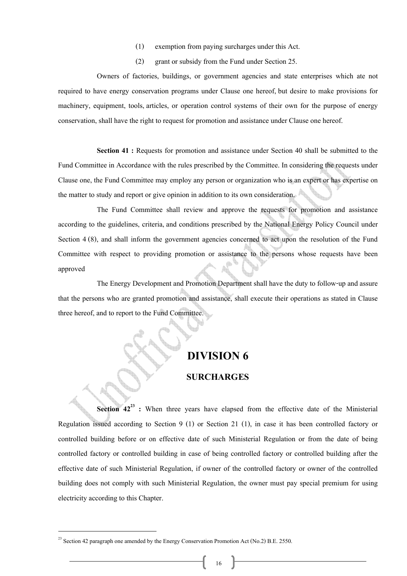- (1) exemption from paying surcharges under this Act.
- (2) grant or subsidy from the Fund under Section 25.

 Owners of factories, buildings, or government agencies and state enterprises which ate not required to have energy conservation programs under Clause one hereof, but desire to make provisions for machinery, equipment, tools, articles, or operation control systems of their own for the purpose of energy conservation, shall have the right to request for promotion and assistance under Clause one hereof.

**Section 41 :** Requests for promotion and assistance under Section 40 shall be submitted to the Fund Committee in Accordance with the rules prescribed by the Committee. In considering the requests under Clause one, the Fund Committee may employ any person or organization who is an expert or has expertise on the matter to study and report or give opinion in addition to its own consideration.

 The Fund Committee shall review and approve the requests for promotion and assistance according to the guidelines, criteria, and conditions prescribed by the National Energy Policy Council under Section 4 (8), and shall inform the government agencies concerned to act upon the resolution of the Fund Committee with respect to providing promotion or assistance to the persons whose requests have been approved

 The Energy Development and Promotion Department shall have the duty to follow-up and assure that the persons who are granted promotion and assistance, shall execute their operations as stated in Clause three hereof, and to report to the Fund Committee.

#### **DIVISION 6**

#### **SURCHARGES**

**Section 42<sup>23</sup>** : When three years have elapsed from the effective date of the Ministerial Regulation issued according to Section 9 (1) or Section 21 (1), in case it has been controlled factory or controlled building before or on effective date of such Ministerial Regulation or from the date of being controlled factory or controlled building in case of being controlled factory or controlled building after the effective date of such Ministerial Regulation, if owner of the controlled factory or owner of the controlled building does not comply with such Ministerial Regulation, the owner must pay special premium for using electricity according to this Chapter.

<sup>&</sup>lt;sup>23</sup> Section 42 paragraph one amended by the Energy Conservation Promotion Act (No.2) B.E. 2550.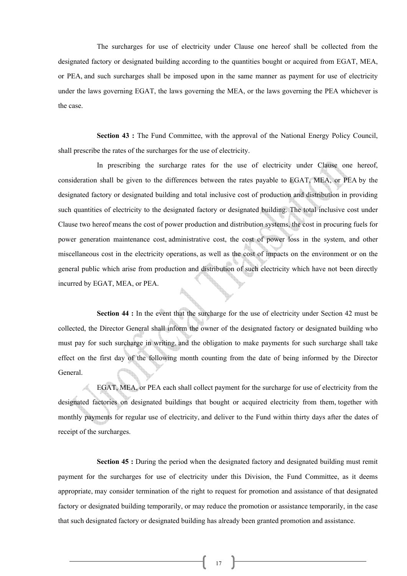The surcharges for use of electricity under Clause one hereof shall be collected from the designated factory or designated building according to the quantities bought or acquired from EGAT, MEA, or PEA, and such surcharges shall be imposed upon in the same manner as payment for use of electricity under the laws governing EGAT, the laws governing the MEA, or the laws governing the PEA whichever is the case.

**Section 43 :** The Fund Committee, with the approval of the National Energy Policy Council, shall prescribe the rates of the surcharges for the use of electricity.

 In prescribing the surcharge rates for the use of electricity under Clause one hereof, consideration shall be given to the differences between the rates payable to EGAT, MEA, or PEA by the designated factory or designated building and total inclusive cost of production and distribution in providing such quantities of electricity to the designated factory or designated building. The total inclusive cost under Clause two hereof means the cost of power production and distribution systems, the cost in procuring fuels for power generation maintenance cost, administrative cost, the cost of power loss in the system, and other miscellaneous cost in the electricity operations, as well as the cost of impacts on the environment or on the general public which arise from production and distribution of such electricity which have not been directly incurred by EGAT, MEA, or PEA.

**Section 44 :** In the event that the surcharge for the use of electricity under Section 42 must be collected, the Director General shall inform the owner of the designated factory or designated building who must pay for such surcharge in writing, and the obligation to make payments for such surcharge shall take effect on the first day of the following month counting from the date of being informed by the Director General.

 EGAT, MEA, or PEA each shall collect payment for the surcharge for use of electricity from the designated factories on designated buildings that bought or acquired electricity from them, together with monthly payments for regular use of electricity, and deliver to the Fund within thirty days after the dates of receipt of the surcharges.

**Section 45 :** During the period when the designated factory and designated building must remit payment for the surcharges for use of electricity under this Division, the Fund Committee, as it deems appropriate, may consider termination of the right to request for promotion and assistance of that designated factory or designated building temporarily, or may reduce the promotion or assistance temporarily, in the case that such designated factory or designated building has already been granted promotion and assistance.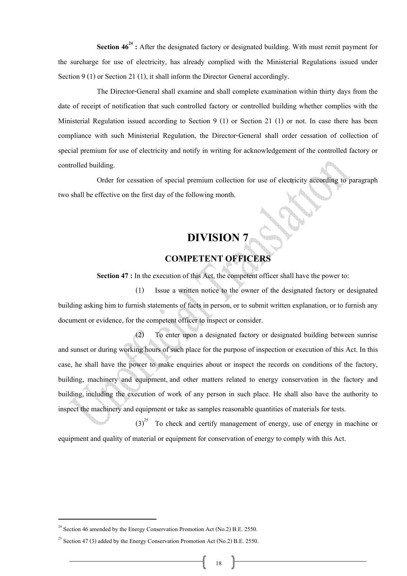**Section 46<sup>24</sup>**: After the designated factory or designated building. With must remit payment for the surcharge for use of electricity, has already complied with the Ministerial Regulations issued under Section 9 (1) or Section 21 (1), it shall inform the Director General accordingly.

The Director-General shall examine and shall complete examination within thirty days from the date of receipt of notification that such controlled factory or controlled building whether complies with the Ministerial Regulation issued according to Section  $9(1)$  or Section 21 $(1)$  or not. In case there has been compliance with such Ministerial Regulation, the Director-General shall order cessation of collection of special premium for use of electricity and notify in writing for acknowledgement of the controlled factory or controlled building.

Order for cessation of special premium collection for use of electricity according to paragraph two shall be effective on the first day of the following month.

# **DIVISION 7**

#### **COMPETENT OFFICERS**

**Section 47 :** In the execution of this Act, the competent officer shall have the power to:

(1) Issue a written notice to the owner of the designated factory or designated building asking him to furnish statements of facts in person, or to submit written explanation, or to furnish any document or evidence, for the competent officer to inspect or consider.

(2) To enter upon a designated factory or designated building between sunrise and sunset or during working hours of such place for the purpose of inspection or execution of this Act. In this case, he shall have the power to make enquiries about or inspect the records on conditions of the factory, building, machinery and equipment, and other matters related to energy conservation in the factory and building, including the execution of work of any person in such place. He shall also have the authority to inspect the machinery and equipment or take as samples reasonable quantities of materials for tests.

 $(3)^{25}$  To check and certify management of energy, use of energy in machine or equipment and quality of material or equipment for conservation of energy to comply with this Act.

<sup>&</sup>lt;sup>24</sup> Section 46 amended by the Energy Conservation Promotion Act (No.2) B.E. 2550.

<sup>&</sup>lt;sup>25</sup> Section 47 (3) added by the Energy Conservation Promotion Act (No.2) B.E. 2550.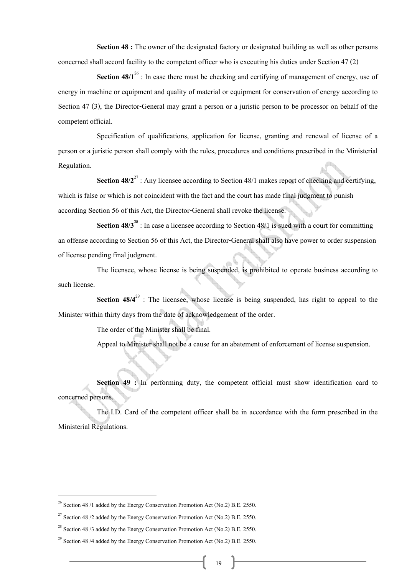**Section 48 :** The owner of the designated factory or designated building as well as other persons concerned shall accord facility to the competent officer who is executing his duties under Section 47 (2)

**Section 48/1<sup>26</sup>**: In case there must be checking and certifying of management of energy, use of energy in machine or equipment and quality of material or equipment for conservation of energy according to Section 47 (3), the Director-General may grant a person or a juristic person to be processor on behalf of the competent official.

Specification of qualifications, application for license, granting and renewal of license of a person or a juristic person shall comply with the rules, procedures and conditions prescribed in the Ministerial Regulation.

**Section 48/2<sup>27</sup>**: Any licensee according to Section 48/1 makes report of checking and certifying, which is false or which is not coincident with the fact and the court has made final judgment to punish according Section 56 of this Act, the Director-General shall revoke the license.

**Section 48/3<sup>28</sup>**: In case a licensee according to Section 48/1 is sued with a court for committing an offense according to Section 56 of this Act, the Director-General shall also have power to order suspension of license pending final judgment.

The licensee, whose license is being suspended, is prohibited to operate business according to such license.

**Section 48/4<sup>29</sup>**: The licensee, whose license is being suspended, has right to appeal to the Minister within thirty days from the date of acknowledgement of the order.

The order of the Minister shall be final.

Appeal to Minister shall not be a cause for an abatement of enforcement of license suspension.

**Section 49 :** In performing duty, the competent official must show identification card to concerned persons.

 The I.D. Card of the competent officer shall be in accordance with the form prescribed in the Ministerial Regulations.

<sup>&</sup>lt;sup>26</sup> Section 48 /1 added by the Energy Conservation Promotion Act (No.2) B.E. 2550.<br><sup>27</sup> Section 48 /2 added by the Energy Conservation Promotion Act (No.2) B.E. 2550.<br><sup>28</sup> Section 48 /3 added by the Energy Conservation P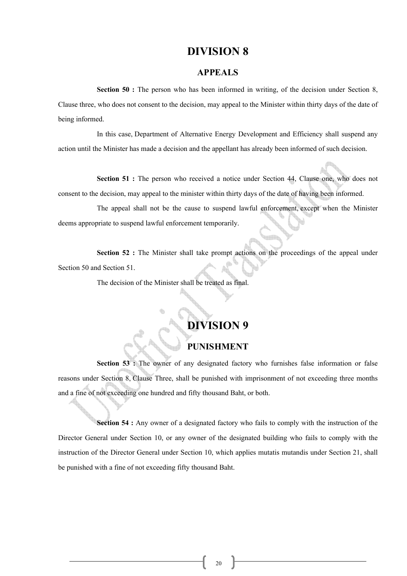#### **DIVISION 8**

#### **APPEALS**

**Section 50 :** The person who has been informed in writing, of the decision under Section 8, Clause three, who does not consent to the decision, may appeal to the Minister within thirty days of the date of being informed.

 In this case, Department of Alternative Energy Development and Efficiency shall suspend any action until the Minister has made a decision and the appellant has already been informed of such decision.

**Section 51 :** The person who received a notice under Section 44, Clause one, who does not consent to the decision, may appeal to the minister within thirty days of the date of having been informed.

 The appeal shall not be the cause to suspend lawful enforcement, except when the Minister deems appropriate to suspend lawful enforcement temporarily.

**Section 52 :** The Minister shall take prompt actions on the proceedings of the appeal under Section 50 and Section 51.

The decision of the Minister shall be treated as final.

#### **DIVISION 9**

#### **PUNISHMENT**

**Section 53 :** The owner of any designated factory who furnishes false information or false reasons under Section 8, Clause Three, shall be punished with imprisonment of not exceeding three months and a fine of not exceeding one hundred and fifty thousand Baht, or both.

**Section 54 :** Any owner of a designated factory who fails to comply with the instruction of the Director General under Section 10, or any owner of the designated building who fails to comply with the instruction of the Director General under Section 10, which applies mutatis mutandis under Section 21, shall be punished with a fine of not exceeding fifty thousand Baht.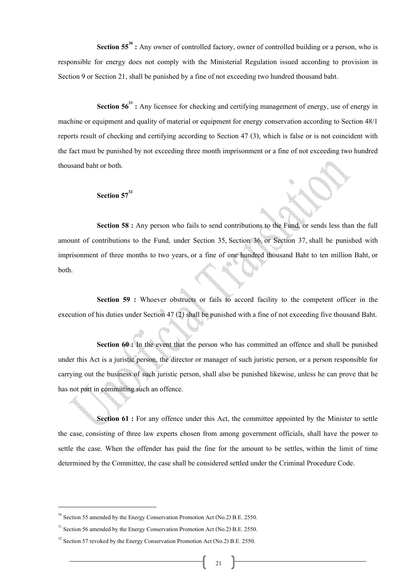**Section 55<sup>30</sup>**: Any owner of controlled factory, owner of controlled building or a person, who is responsible for energy does not comply with the Ministerial Regulation issued according to provision in Section 9 or Section 21, shall be punished by a fine of not exceeding two hundred thousand baht.

**Section 56<sup>31</sup>**: Any licensee for checking and certifying management of energy, use of energy in machine or equipment and quality of material or equipment for energy conservation according to Section 48/1 reports result of checking and certifying according to Section 47 (3), which is false or is not coincident with the fact must be punished by not exceeding three month imprisonment or a fine of not exceeding two hundred thousand baht or both.

#### Section 57<sup>32</sup>

**Section 58 :** Any person who fails to send contributions to the Fund, or sends less than the full amount of contributions to the Fund, under Section 35, Section 36, or Section 37, shall be punished with imprisonment of three months to two years, or a fine of one hundred thousand Baht to ten million Baht, or both.

**Section 59 :** Whoever obstructs or fails to accord facility to the competent officer in the execution of his duties under Section 47 (2) shall be punished with a fine of not exceeding five thousand Baht.

**Section 60 :** In the event that the person who has committed an offence and shall be punished under this Act is a juristic person, the director or manager of such juristic person, or a person responsible for carrying out the business of such juristic person, shall also be punished likewise, unless he can prove that he has not part in committing such an offence.

**Section 61 :** For any offence under this Act, the committee appointed by the Minister to settle the case, consisting of three law experts chosen from among government officials, shall have the power to settle the case. When the offender has paid the fine for the amount to be settles, within the limit of time determined by the Committee, the case shall be considered settled under the Criminal Procedure Code.

<sup>&</sup>lt;sup>30</sup> Section 55 amended by the Energy Conservation Promotion Act (No.2) B.E. 2550.<br><sup>31</sup> Section 56 amended by the Energy Conservation Promotion Act (No.2) B.E. 2550.<br><sup>32</sup> Section 57 revoked by the Energy Conservation Prom